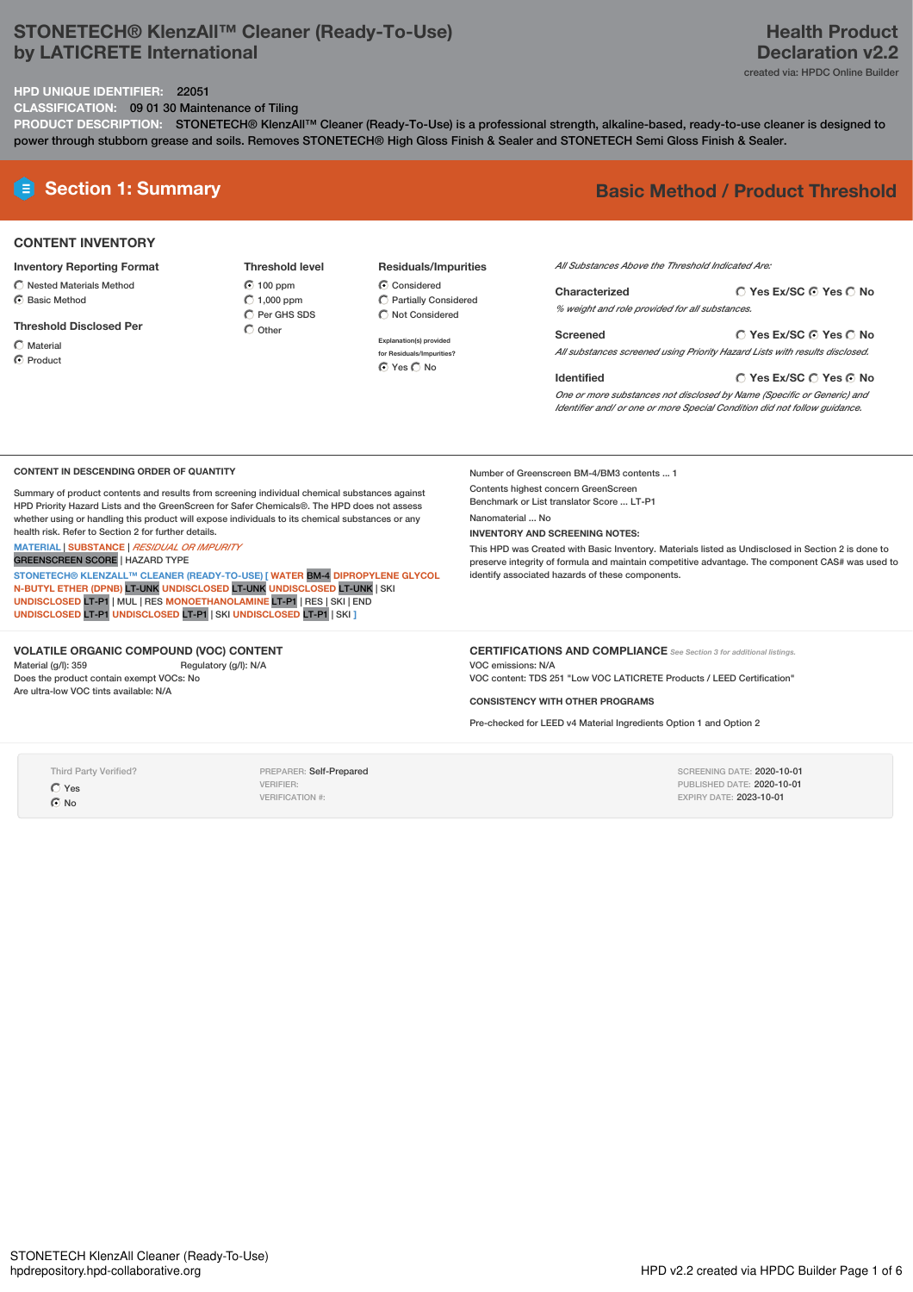# **STONETECH® KlenzAll™ Cleaner (Ready-To-Use) by LATICRETE International**

# **HPD UNIQUE IDENTIFIER:** 22051

**CLASSIFICATION:** 09 01 30 Maintenance of Tiling

PRODUCT DESCRIPTION: STONETECH® KlenzAll™ Cleaner (Ready-To-Use) is a professional strength, alkaline-based, ready-to-use cleaner is designed to power through stubborn grease and soils. Removes STONETECH® High Gloss Finish & Sealer and STONETECH Semi Gloss Finish & Sealer.

# **E** Section 1: Summary **Basic** Method / Product Threshold

# **CONTENT INVENTORY**

**Inventory Reporting Format**

- $\bigcirc$  Nested Materials Method C Basic Method
- 
- **Threshold Disclosed Per**

Material

**C** Product

**Threshold level 6** 100 ppm  $\bigcirc$  1,000 ppm  $\overline{O}$  Per GHS SDS

 $O$  Other

**Residuals/Impurities** C Considered

Partially Considered  $\bigcirc$  Not Considered

**Explanation(s) provided for Residuals/Impurities?** O Yes O No

*All Substances Above the Threshold Indicated Are:*

**Yes Ex/SC Yes No Characterized** *% weight and role provided for all substances.*

**Yes Ex/SC Yes No Screened** *All substances screened using Priority Hazard Lists with results disclosed.*

**Identified**

Number of Greenscreen BM-4/BM3 contents ... 1 Contents highest concern GreenScreen Benchmark or List translator Score ... LT-P1

identify associated hazards of these components.

**INVENTORY AND SCREENING NOTES:**

Nanomaterial ... No

**Yes Ex/SC Yes No**

*One or more substances not disclosed by Name (Specific or Generic) and Identifier and/ or one or more Special Condition did not follow guidance.*

This HPD was Created with Basic Inventory. Materials listed as Undisclosed in Section 2 is done to preserve integrity of formula and maintain competitive advantage. The component CAS# was used to

#### **CONTENT IN DESCENDING ORDER OF QUANTITY**

Summary of product contents and results from screening individual chemical substances against HPD Priority Hazard Lists and the GreenScreen for Safer Chemicals®. The HPD does not assess whether using or handling this product will expose individuals to its chemical substances or any health risk. Refer to Section 2 for further details.

**MATERIAL** | **SUBSTANCE** | *RESIDUAL OR IMPURITY*

GREENSCREEN SCORE | HAZARD TYPE

**STONETECH® KLENZALL™ CLEANER (READY-TO-USE) [ WATER** BM-4 **DIPROPYLENE GLYCOL N-BUTYL ETHER (DPNB)** LT-UNK **UNDISCLOSED** LT-UNK **UNDISCLOSED** LT-UNK | SKI **UNDISCLOSED** LT-P1 | MUL | RES **MONOETHANOLAMINE** LT-P1 | RES | SKI | END **UNDISCLOSED** LT-P1 **UNDISCLOSED** LT-P1 | SKI **UNDISCLOSED** LT-P1 | SKI **]**

### **VOLATILE ORGANIC COMPOUND (VOC) CONTENT**

Material (g/l): 359 Regulatory (g/l): N/A Does the product contain exempt VOCs: No Are ultra-low VOC tints available: N/A

# **CERTIFICATIONS AND COMPLIANCE** *See Section <sup>3</sup> for additional listings.*

VOC emissions: N/A

VOC content: TDS 251 "Low VOC LATICRETE Products / LEED Certification"

## **CONSISTENCY WITH OTHER PROGRAMS**

Pre-checked for LEED v4 Material Ingredients Option 1 and Option 2

Third Party Verified?  $O$  Yes

 $\odot$  No

PREPARER: Self-Prepared VERIFIER: VERIFICATION #:

SCREENING DATE: 2020-10-01 PUBLISHED DATE: 2020-10-01 EXPIRY DATE: 2023-10-01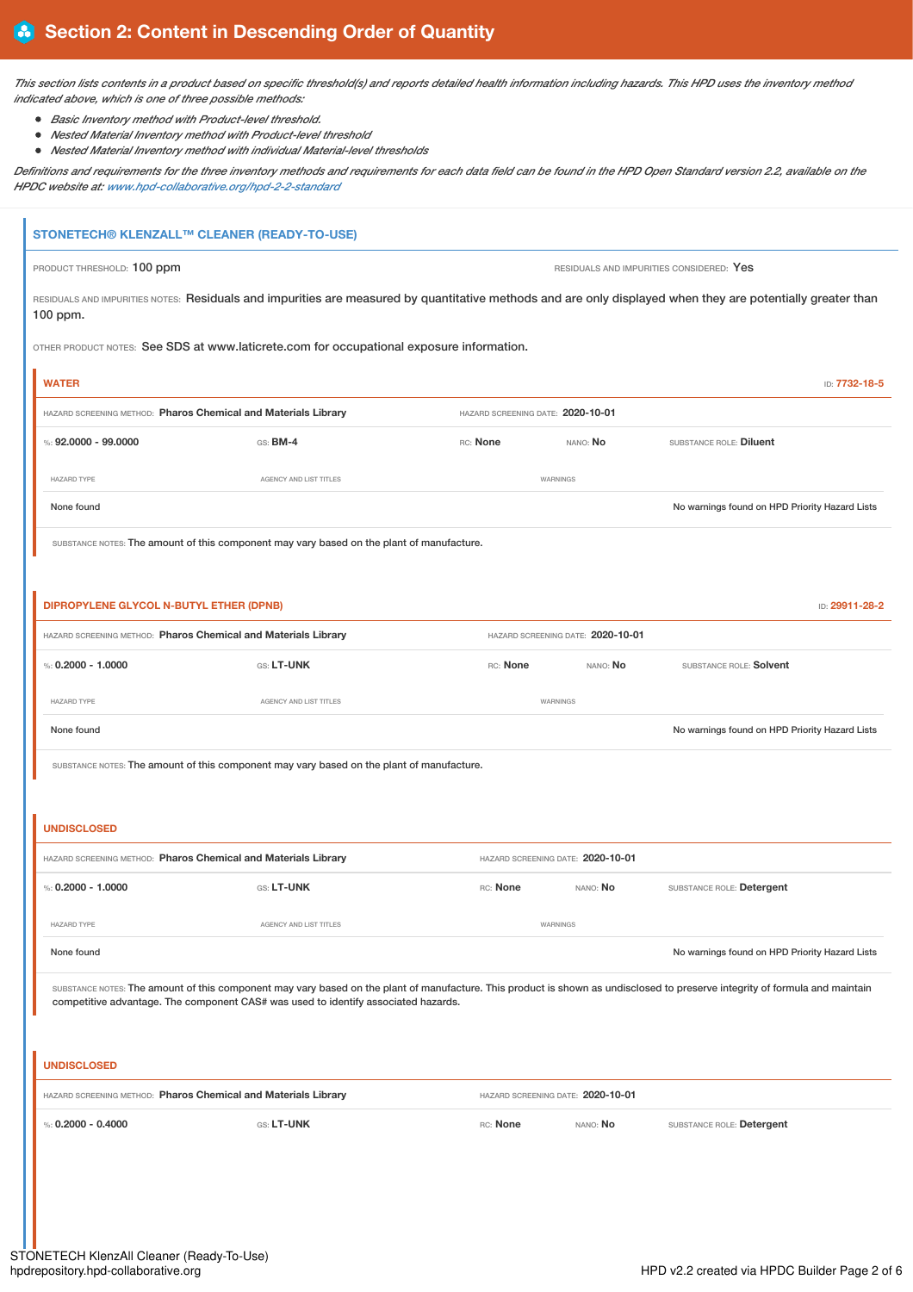This section lists contents in a product based on specific threshold(s) and reports detailed health information including hazards. This HPD uses the inventory method *indicated above, which is one of three possible methods:*

- *Basic Inventory method with Product-level threshold.*
- *Nested Material Inventory method with Product-level threshold*
- *Nested Material Inventory method with individual Material-level thresholds*

Definitions and requirements for the three inventory methods and requirements for each data field can be found in the HPD Open Standard version 2.2, available on the *HPDC website at: [www.hpd-collaborative.org/hpd-2-2-standard](https://www.hpd-collaborative.org/hpd-2-2-standard)*

# **STONETECH® KLENZALL™ CLEANER (READY-TO-USE)**

PRODUCT THRESHOLD: 100 ppm **PRODUCT THRESHOLD: 100 ppm** RESIDUALS AND IMPURITIES CONSIDERED: Yes

RESIDUALS AND IMPURITIES NOTES: Residuals and impurities are measured by quantitative methods and are only displayed when they are potentially greater than 100 ppm.

OTHER PRODUCT NOTES: See SDS at www.laticrete.com for occupational exposure information.

| <b>WATER</b>                                                   |                                                                                                                                                                              |                                   |                                   |                                                | ID: 7732-18-5  |
|----------------------------------------------------------------|------------------------------------------------------------------------------------------------------------------------------------------------------------------------------|-----------------------------------|-----------------------------------|------------------------------------------------|----------------|
| HAZARD SCREENING METHOD: Pharos Chemical and Materials Library |                                                                                                                                                                              | HAZARD SCREENING DATE: 2020-10-01 |                                   |                                                |                |
| %: $92.0000 - 99.0000$                                         | GS: BM-4                                                                                                                                                                     | RC: None                          | NANO: No                          | SUBSTANCE ROLE: Diluent                        |                |
| HAZARD TYPE                                                    | AGENCY AND LIST TITLES                                                                                                                                                       |                                   | WARNINGS                          |                                                |                |
| None found                                                     |                                                                                                                                                                              |                                   |                                   | No warnings found on HPD Priority Hazard Lists |                |
|                                                                | SUBSTANCE NOTES: The amount of this component may vary based on the plant of manufacture.                                                                                    |                                   |                                   |                                                |                |
|                                                                |                                                                                                                                                                              |                                   |                                   |                                                |                |
| DIPROPYLENE GLYCOL N-BUTYL ETHER (DPNB)                        |                                                                                                                                                                              |                                   |                                   |                                                | ID: 29911-28-2 |
| HAZARD SCREENING METHOD: Pharos Chemical and Materials Library |                                                                                                                                                                              |                                   | HAZARD SCREENING DATE: 2020-10-01 |                                                |                |
| %: $0.2000 - 1.0000$                                           | GS: LT-UNK                                                                                                                                                                   | RC: None                          | NANO: No                          | SUBSTANCE ROLE: Solvent                        |                |
| HAZARD TYPE                                                    | AGENCY AND LIST TITLES                                                                                                                                                       |                                   | WARNINGS                          |                                                |                |
| None found                                                     |                                                                                                                                                                              |                                   |                                   | No warnings found on HPD Priority Hazard Lists |                |
|                                                                | SUBSTANCE NOTES: The amount of this component may vary based on the plant of manufacture.                                                                                    |                                   |                                   |                                                |                |
|                                                                |                                                                                                                                                                              |                                   |                                   |                                                |                |
|                                                                |                                                                                                                                                                              |                                   |                                   |                                                |                |
| <b>UNDISCLOSED</b>                                             |                                                                                                                                                                              |                                   |                                   |                                                |                |
| HAZARD SCREENING METHOD: Pharos Chemical and Materials Library |                                                                                                                                                                              |                                   | HAZARD SCREENING DATE: 2020-10-01 |                                                |                |
| %: $0.2000 - 1.0000$                                           | GS: LT-UNK                                                                                                                                                                   | RC: None                          | NANO: No                          | SUBSTANCE ROLE: Detergent                      |                |
| HAZARD TYPE                                                    | AGENCY AND LIST TITLES                                                                                                                                                       |                                   | WARNINGS                          |                                                |                |
| None found                                                     |                                                                                                                                                                              |                                   |                                   | No warnings found on HPD Priority Hazard Lists |                |
|                                                                | SUBSTANCE NOTES: The amount of this component may vary based on the plant of manufacture. This product is shown as undisclosed to preserve integrity of formula and maintain |                                   |                                   |                                                |                |
|                                                                | competitive advantage. The component CAS# was used to identify associated hazards.                                                                                           |                                   |                                   |                                                |                |
|                                                                |                                                                                                                                                                              |                                   |                                   |                                                |                |
| <b>UNDISCLOSED</b>                                             |                                                                                                                                                                              |                                   |                                   |                                                |                |
| HAZARD SCREENING METHOD: Pharos Chemical and Materials Library |                                                                                                                                                                              |                                   | HAZARD SCREENING DATE: 2020-10-01 |                                                |                |
| %: $0.2000 - 0.4000$                                           | GS: LT-UNK                                                                                                                                                                   | RC: None                          | NANO: No                          | SUBSTANCE ROLE: Detergent                      |                |
|                                                                |                                                                                                                                                                              |                                   |                                   |                                                |                |
|                                                                |                                                                                                                                                                              |                                   |                                   |                                                |                |
|                                                                |                                                                                                                                                                              |                                   |                                   |                                                |                |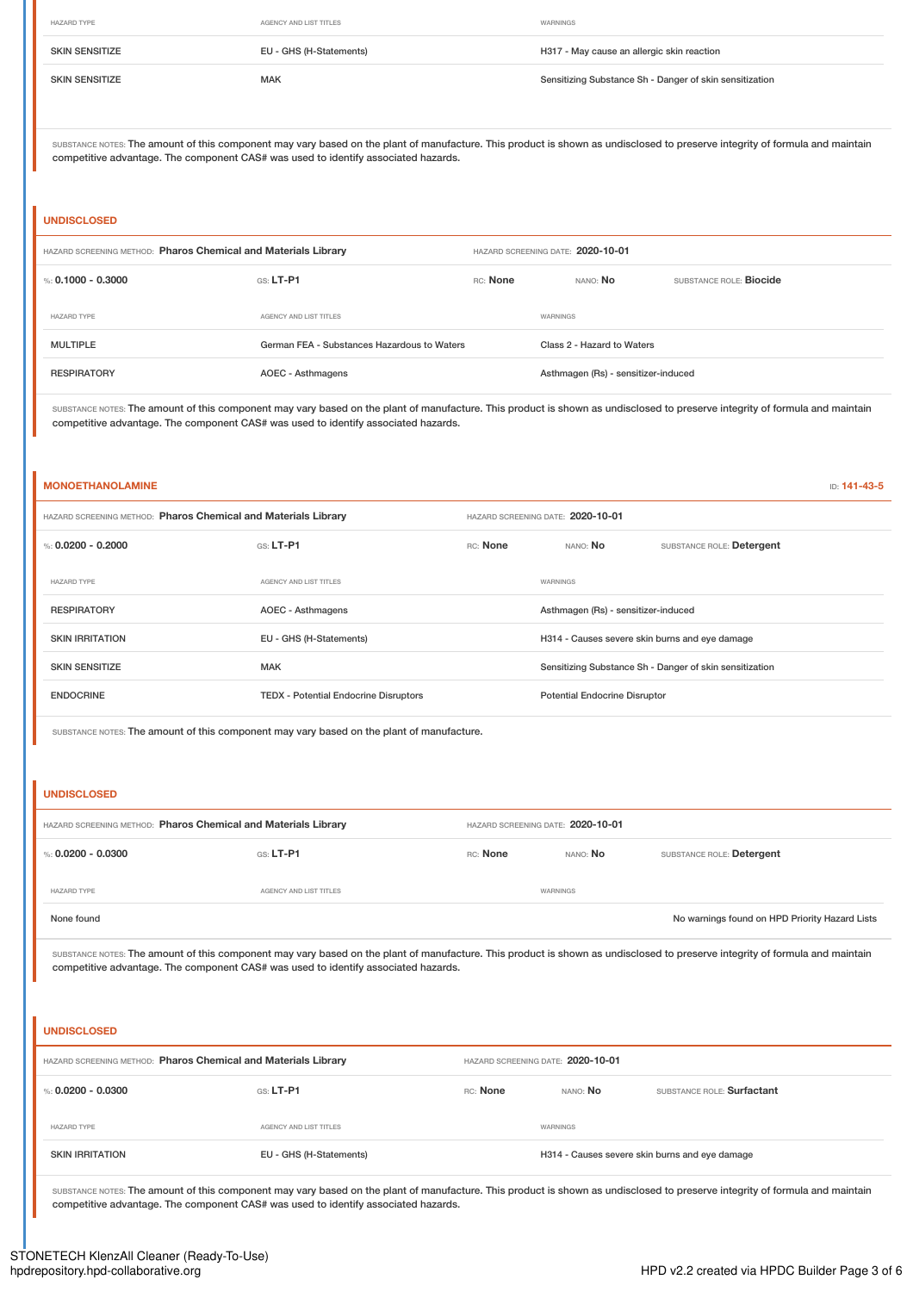| <b>HAZARD TYPE</b>    | AGENCY AND LIST TITLES  | WARNINGS                                                |
|-----------------------|-------------------------|---------------------------------------------------------|
| <b>SKIN SENSITIZE</b> | EU - GHS (H-Statements) | H317 - May cause an allergic skin reaction              |
| <b>SKIN SENSITIZE</b> | <b>MAK</b>              | Sensitizing Substance Sh - Danger of skin sensitization |

SUBSTANCE NOTES: The amount of this component may vary based on the plant of manufacture. This product is shown as undisclosed to preserve integrity of formula and maintain competitive advantage. The component CAS# was used to identify associated hazards.

#### **UNDISCLOSED**

| HAZARD SCREENING METHOD: Pharos Chemical and Materials Library |                                             | HAZARD SCREENING DATE: 2020-10-01 |                                     |                                |
|----------------------------------------------------------------|---------------------------------------------|-----------------------------------|-------------------------------------|--------------------------------|
| %: 0.1000 - 0.3000                                             | $GS: LT-P1$                                 | RC: None                          | NANO: No                            | SUBSTANCE ROLE: <b>Biocide</b> |
| <b>HAZARD TYPE</b>                                             | AGENCY AND LIST TITLES                      |                                   | WARNINGS                            |                                |
| MULTIPLE                                                       | German FEA - Substances Hazardous to Waters |                                   | Class 2 - Hazard to Waters          |                                |
| <b>RESPIRATORY</b>                                             | AOEC - Asthmagens                           |                                   | Asthmagen (Rs) - sensitizer-induced |                                |

SUBSTANCE NOTES: The amount of this component may vary based on the plant of manufacture. This product is shown as undisclosed to preserve integrity of formula and maintain competitive advantage. The component CAS# was used to identify associated hazards.

### **MONOETHANOLAMINE** ID: **141-43-5**

| HAZARD SCREENING METHOD: Pharos Chemical and Materials Library |                                              |          | HAZARD SCREENING DATE: 2020-10-01              |                                                         |
|----------------------------------------------------------------|----------------------------------------------|----------|------------------------------------------------|---------------------------------------------------------|
| %: 0.0200 - 0.2000                                             | GS: LT-P1                                    | RC: None | NANO: No                                       | SUBSTANCE ROLE: Detergent                               |
| <b>HAZARD TYPE</b>                                             | AGENCY AND LIST TITLES                       |          | WARNINGS                                       |                                                         |
| <b>RESPIRATORY</b>                                             | AOEC - Asthmagens                            |          | Asthmagen (Rs) - sensitizer-induced            |                                                         |
| <b>SKIN IRRITATION</b>                                         | EU - GHS (H-Statements)                      |          | H314 - Causes severe skin burns and eye damage |                                                         |
| <b>SKIN SENSITIZE</b>                                          | <b>MAK</b>                                   |          |                                                | Sensitizing Substance Sh - Danger of skin sensitization |
| <b>ENDOCRINE</b>                                               | <b>TEDX - Potential Endocrine Disruptors</b> |          | <b>Potential Endocrine Disruptor</b>           |                                                         |
|                                                                |                                              |          |                                                |                                                         |

SUBSTANCE NOTES: The amount of this component may vary based on the plant of manufacture.

### **UNDISCLOSED**

| HAZARD SCREENING METHOD: Pharos Chemical and Materials Library |                        | HAZARD SCREENING DATE: 2020-10-01 |                 |                                                |
|----------------------------------------------------------------|------------------------|-----------------------------------|-----------------|------------------------------------------------|
| %: 0.0200 - 0.0300                                             | $GS: LT-P1$            | RC: None                          | nano: <b>No</b> | SUBSTANCE ROLE: Detergent                      |
| <b>HAZARD TYPE</b>                                             | AGENCY AND LIST TITLES |                                   | WARNINGS        |                                                |
| None found                                                     |                        |                                   |                 | No warnings found on HPD Priority Hazard Lists |

SUBSTANCE NOTES: The amount of this component may vary based on the plant of manufacture. This product is shown as undisclosed to preserve integrity of formula and maintain competitive advantage. The component CAS# was used to identify associated hazards.

# **UNDISCLOSED**

| HAZARD SCREENING METHOD: Pharos Chemical and Materials Library |                         | HAZARD SCREENING DATE: 2020-10-01 |                                                |                            |
|----------------------------------------------------------------|-------------------------|-----------------------------------|------------------------------------------------|----------------------------|
| %: 0.0200 - 0.0300                                             | $GS: LT-P1$             | RC: None                          | nano: <b>No</b>                                | SUBSTANCE ROLE: Surfactant |
| <b>HAZARD TYPE</b>                                             | AGENCY AND LIST TITLES  |                                   | WARNINGS                                       |                            |
| <b>SKIN IRRITATION</b>                                         | EU - GHS (H-Statements) |                                   | H314 - Causes severe skin burns and eye damage |                            |

SUBSTANCE NOTES: The amount of this component may vary based on the plant of manufacture. This product is shown as undisclosed to preserve integrity of formula and maintain competitive advantage. The component CAS# was used to identify associated hazards.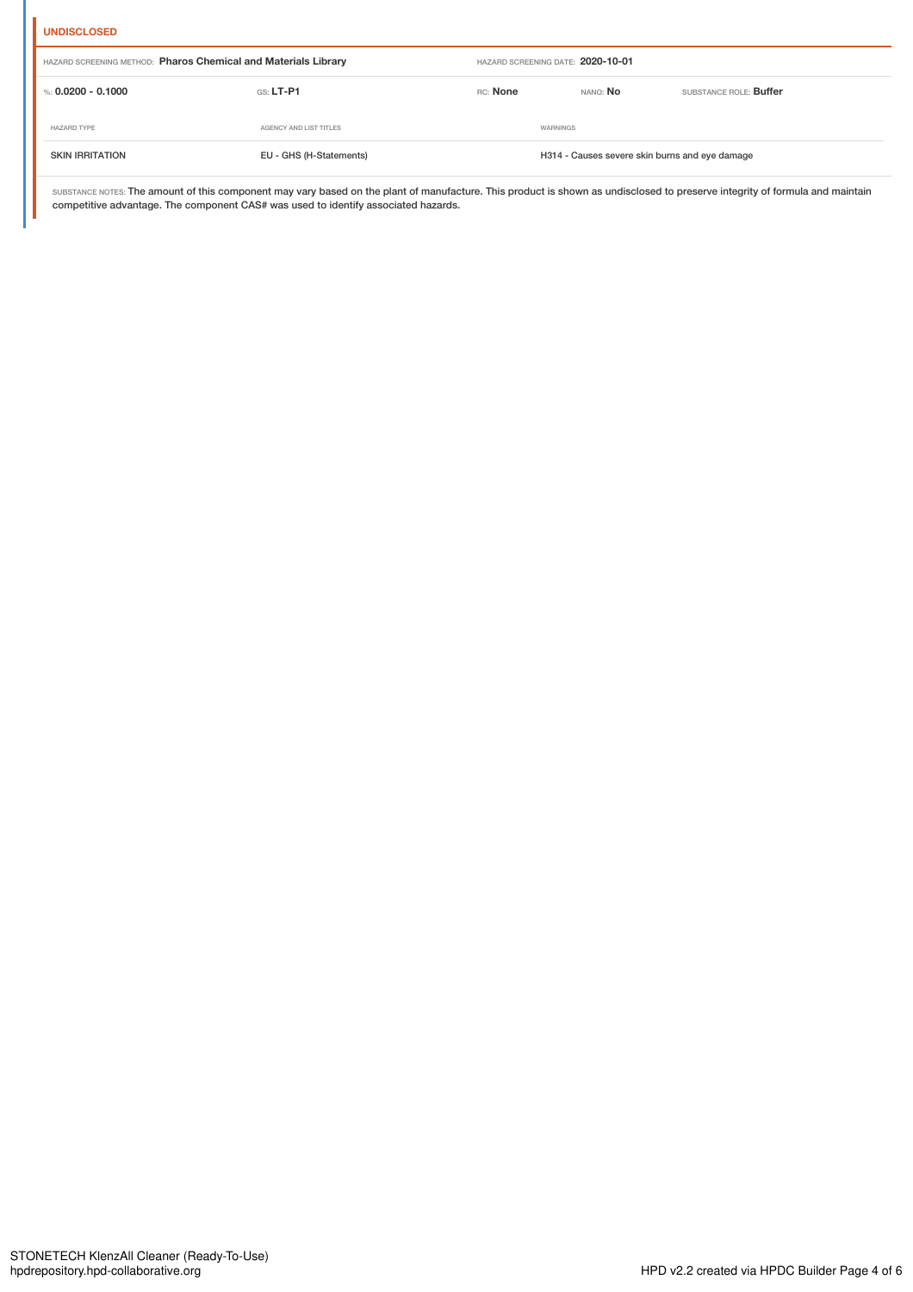### **UNDISCLOSED**

| HAZARD SCREENING METHOD: Pharos Chemical and Materials Library |                         |          | HAZARD SCREENING DATE: 2020-10-01              |                               |
|----------------------------------------------------------------|-------------------------|----------|------------------------------------------------|-------------------------------|
| %: 0.0200 - 0.1000                                             | $GS: LT-P1$             | RC: None | nano: <b>No</b>                                | SUBSTANCE ROLE: <b>Buffer</b> |
| <b>HAZARD TYPE</b>                                             | AGENCY AND LIST TITLES  |          | WARNINGS                                       |                               |
| <b>SKIN IRRITATION</b>                                         | EU - GHS (H-Statements) |          | H314 - Causes severe skin burns and eye damage |                               |

SUBSTANCE NOTES: The amount of this component may vary based on the plant of manufacture. This product is shown as undisclosed to preserve integrity of formula and maintain competitive advantage. The component CAS# was used to identify associated hazards.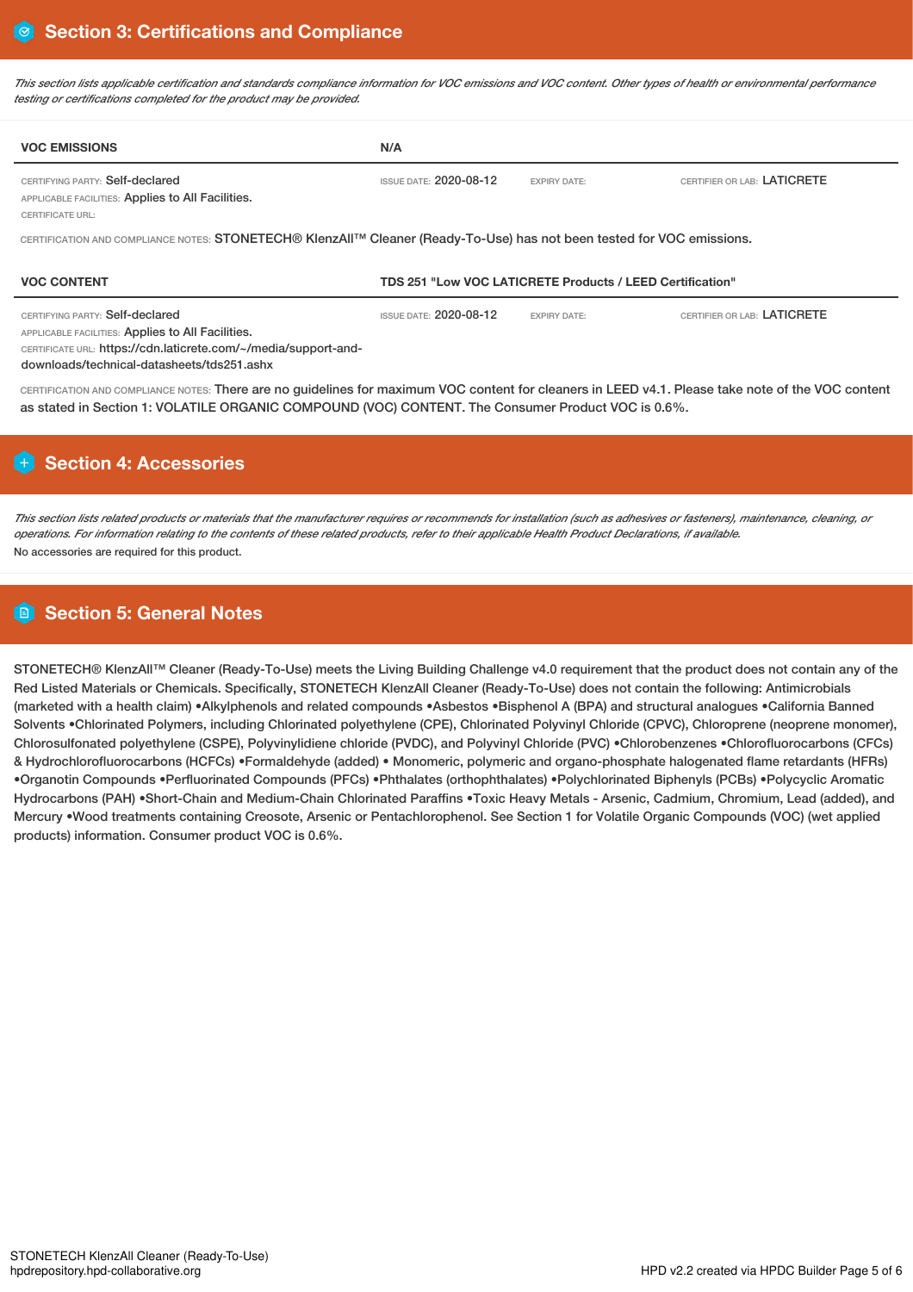This section lists applicable certification and standards compliance information for VOC emissions and VOC content. Other types of health or environmental performance *testing or certifications completed for the product may be provided.*

| N/A                                                                                                                                 |                     |                             |  |  |  |
|-------------------------------------------------------------------------------------------------------------------------------------|---------------------|-----------------------------|--|--|--|
| <b>ISSUE DATE: 2020-08-12</b>                                                                                                       | <b>EXPIRY DATE:</b> | CERTIFIER OR LAB: LATICRETE |  |  |  |
| CERTIFICATION AND COMPLIANCE NOTES: STONETECH® KlenzAll <sup>TM</sup> Cleaner (Ready-To-Use) has not been tested for VOC emissions. |                     |                             |  |  |  |
| <b>VOC CONTENT</b><br>TDS 251 "Low VOC LATICRETE Products / LEED Certification"                                                     |                     |                             |  |  |  |
|                                                                                                                                     |                     |                             |  |  |  |
|                                                                                                                                     |                     |                             |  |  |  |

CERTIFICATION AND COMPLIANCE NOTES: There are no guidelines for maximum VOC content for cleaners in LEED v4.1. Please take note of the VOC content as stated in Section 1: VOLATILE ORGANIC COMPOUND (VOC) CONTENT. The Consumer Product VOC is 0.6%.

# **H** Section 4: Accessories

This section lists related products or materials that the manufacturer requires or recommends for installation (such as adhesives or fasteners), maintenance, cleaning, or operations. For information relating to the contents of these related products, refer to their applicable Health Product Declarations, if available, No accessories are required for this product.

# **Section 5: General Notes**

STONETECH® KlenzAll™ Cleaner (Ready-To-Use) meets the Living Building Challenge v4.0 requirement that the product does not contain any of the Red Listed Materials or Chemicals. Specifically, STONETECH KlenzAll Cleaner (Ready-To-Use) does not contain the following: Antimicrobials (marketed with a health claim) •Alkylphenols and related compounds •Asbestos •Bisphenol A (BPA) and structural analogues •California Banned Solvents •Chlorinated Polymers, including Chlorinated polyethylene (CPE), Chlorinated Polyvinyl Chloride (CPVC), Chloroprene (neoprene monomer), Chlorosulfonated polyethylene (CSPE), Polyvinylidiene chloride (PVDC), and Polyvinyl Chloride (PVC) •Chlorobenzenes •Chlorofluorocarbons (CFCs) & Hydrochlorofluorocarbons (HCFCs) •Formaldehyde (added) • Monomeric, polymeric and organo-phosphate halogenated flame retardants (HFRs) •Organotin Compounds •Perfluorinated Compounds (PFCs) •Phthalates (orthophthalates) •Polychlorinated Biphenyls (PCBs) •Polycyclic Aromatic Hydrocarbons (PAH) •Short-Chain and Medium-Chain Chlorinated Paraffins •Toxic Heavy Metals - Arsenic, Cadmium, Chromium, Lead (added), and Mercury •Wood treatments containing Creosote, Arsenic or Pentachlorophenol. See Section 1 for Volatile Organic Compounds (VOC) (wet applied products) information. Consumer product VOC is 0.6%.